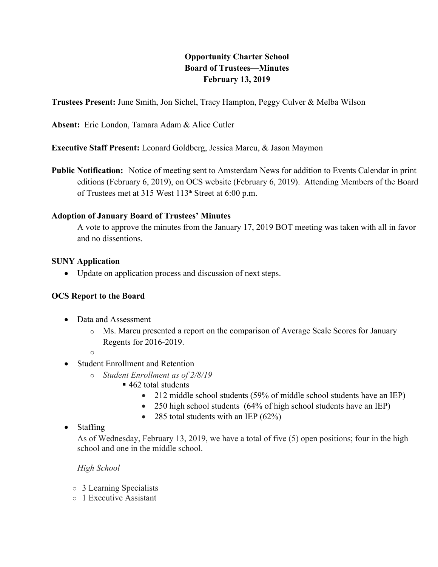# **Opportunity Charter School<br>
Board of Trustees—Minutes<br>
February 13, 2019**<br>
hel, Tracy Hampton, Peggy Culver & Melb<br>
& Alice Cutler **Board of Trustees—Minutes February 13, 2019**

**Trustees Present:** June Smith, Jon Sichel, Tracy Hampton, Peggy Culver & Melba Wilson

**Absent:** Eric London, Tamara Adam & Alice Cutler

**Executive Staff Present:** Leonard Goldberg, Jessica Marcu, & Jason Maymon

**Public Notification:** Notice of meeting sent to Amsterdam News for addition to Events Calendar in print editions (February 6, 2019), on OCS website (February 6, 2019). Attending Members of the Board of Trustees met at 315 West 113<sup>th</sup> Street at 6:00 p.m.

#### **Adoption of January Board of Trustees' Minutes**

A vote to approve the minutes from the January 17, 2019 BOT meeting was taken with all in favor and no dissentions.

#### **SUNY Application**

• Update on application process and discussion of next steps.

## **OCS Report to the Board**

- Data and Assessment
	- o Ms. Marcu presented a report on the comparison of Average Scale Scores for January Regents for 2016-2019.
	- o
- Student Enrollment and Retention
	- o *Student Enrollment as of 2/8/19*
		- 462 total students
			- 212 middle school students (59% of middle school students have an IEP)
			- 250 high school students (64% of high school students have an IEP)
			- 285 total students with an IEP  $(62\%)$

# • Staffing

As of Wednesday, February 13, 2019, we have a total of five (5) open positions; four in the high school and one in the middle school.

## *High School*

- o 3 Learning Specialists
- o 1 Executive Assistant